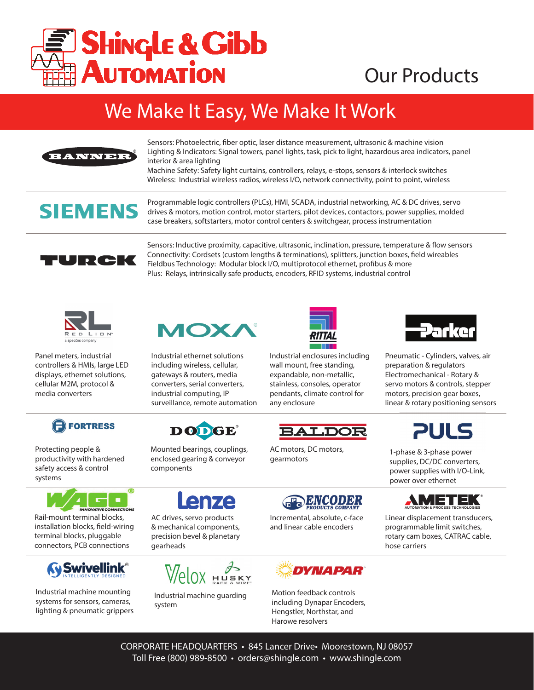

# Our Products

## We Make It Easy, We Make It Work



Sensors: Photoelectric, fiber optic, laser distance measurement, ultrasonic & machine vision Lighting & Indicators: Signal towers, panel lights, task, pick to light, hazardous area indicators, panel interior & area lighting

Machine Safety: Safety light curtains, controllers, relays, e-stops, sensors & interlock switches Wireless: Industrial wireless radios, wireless I/O, network connectivity, point to point, wireless

## **SIEMENS**

Programmable logic controllers (PLCs), HMI, SCADA, industrial networking, AC & DC drives, servo drives & motors, motion control, motor starters, pilot devices, contactors, power supplies, molded case breakers, softstarters, motor control centers & switchgear, process instrumentation



Sensors: Inductive proximity, capacitive, ultrasonic, inclination, pressure, temperature & flow sensors Connectivity: Cordsets (custom lengths & terminations), splitters, junction boxes, field wireables Fieldbus Technology: Modular block I/O, multiprotocol ethernet, profibus & more Plus: Relays, intrinsically safe products, encoders, RFID systems, industrial control



Panel meters, industrial controllers & HMIs, large LED displays, ethernet solutions, cellular M2M, protocol & media converters



Protecting people & productivity with hardened safety access & control systems



Rail-mount terminal blocks, installation blocks, field-wiring terminal blocks, pluggable connectors, PCB connections



Industrial machine mounting systems for sensors, cameras, lighting & pneumatic grippers



Industrial ethernet solutions including wireless, cellular, gateways & routers, media converters, serial converters, industrial computing, IP surveillance, remote automation



Mounted bearings, couplings, enclosed gearing & conveyor

AC drives, servo products & mechanical components, precision bevel & planetary

enze

Industrial machine guarding

 $W$  $\theta$  $\alpha$  HUSKY

components

gearheads

system



Industrial enclosures including wall mount, free standing, expandable, non-metallic, stainless, consoles, operator pendants, climate control for any enclosure





Pneumatic - Cylinders, valves, air preparation & regulators Electromechanical - Rotary & servo motors & controls, stepper motors, precision gear boxes, linear & rotary positioning sensors



1-phase & 3-phase power supplies, DC/DC converters, power supplies with I/O-Link, power over ethernet



Linear displacement transducers, programmable limit switches, rotary cam boxes, CATRAC cable, hose carriers

AC motors, DC motors, gearmotors



Incremental, absolute, c-face and linear cable encoders



Motion feedback controls including Dynapar Encoders, Hengstler, Northstar, and Harowe resolvers

CORPORATE HEADQUARTERS • 845 Lancer Drive• Moorestown, NJ 08057 Toll Free (800) 989-8500 • orders@shingle.com • www.shingle.com